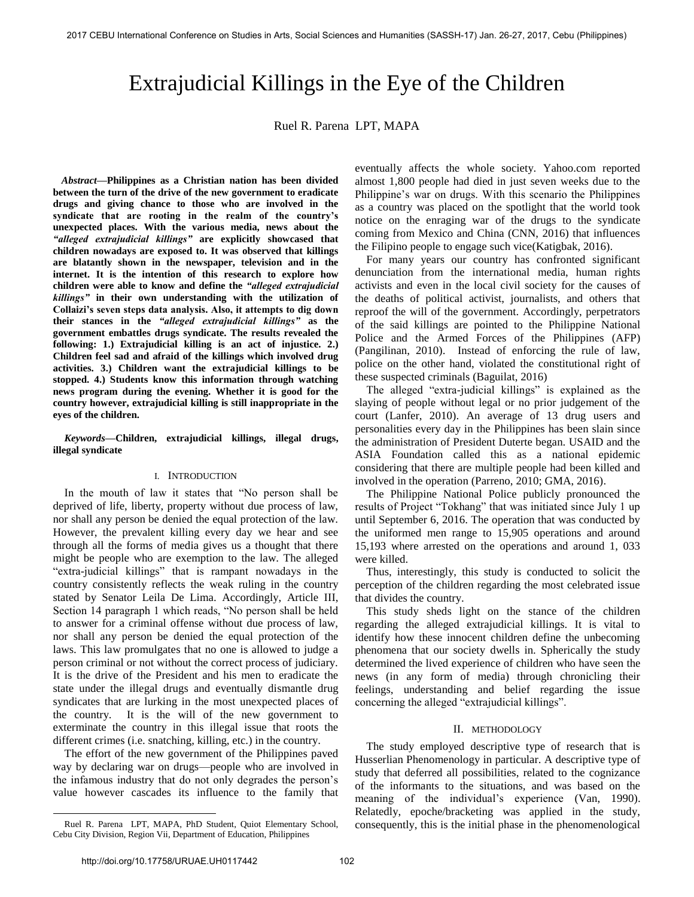# Extrajudicial Killings in the Eye of the Children

Ruel R. Parena LPT, MAPA

 *Abstract***—Philippines as a Christian nation has been divided between the turn of the drive of the new government to eradicate drugs and giving chance to those who are involved in the syndicate that are rooting in the realm of the country's unexpected places. With the various media, news about the**  *"alleged extrajudicial killings"* **are explicitly showcased that children nowadays are exposed to. It was observed that killings are blatantly shown in the newspaper, television and in the internet. It is the intention of this research to explore how children were able to know and define the** *"alleged extrajudicial killings"* **in their own understanding with the utilization of Collaizi's seven steps data analysis. Also, it attempts to dig down their stances in the** *"alleged extrajudicial killings"* **as the government embattles drugs syndicate. The results revealed the following: 1.) Extrajudicial killing is an act of injustice. 2.) Children feel sad and afraid of the killings which involved drug activities. 3.) Children want the extrajudicial killings to be stopped. 4.) Students know this information through watching news program during the evening. Whether it is good for the country however, extrajudicial killing is still inappropriate in the eyes of the children.** 

*Keywords***—Children, extrajudicial killings, illegal drugs, illegal syndicate** 

## I. INTRODUCTION

In the mouth of law it states that "No person shall be deprived of life, liberty, property without due process of law, nor shall any person be denied the equal protection of the law. However, the prevalent killing every day we hear and see through all the forms of media gives us a thought that there might be people who are exemption to the law. The alleged "extra-judicial killings" that is rampant nowadays in the country consistently reflects the weak ruling in the country stated by Senator Leila De Lima. Accordingly, Article III, Section 14 paragraph 1 which reads, "No person shall be held to answer for a criminal offense without due process of law, nor shall any person be denied the equal protection of the laws. This law promulgates that no one is allowed to judge a person criminal or not without the correct process of judiciary. It is the drive of the President and his men to eradicate the state under the illegal drugs and eventually dismantle drug syndicates that are lurking in the most unexpected places of the country. It is the will of the new government to exterminate the country in this illegal issue that roots the different crimes (i.e. snatching, killing, etc.) in the country.

 The effort of the new government of the Philippines paved way by declaring war on drugs—people who are involved in the infamous industry that do not only degrades the person's value however cascades its influence to the family that eventually affects the whole society. Yahoo.com reported almost 1,800 people had died in just seven weeks due to the Philippine's war on drugs. With this scenario the Philippines as a country was placed on the spotlight that the world took notice on the enraging war of the drugs to the syndicate coming from Mexico and China (CNN, 2016) that influences the Filipino people to engage such vice(Katigbak, 2016).

 For many years our country has confronted significant denunciation from the international media, human rights activists and even in the local civil society for the causes of the deaths of political activist, journalists, and others that reproof the will of the government. Accordingly, perpetrators of the said killings are pointed to the Philippine National Police and the Armed Forces of the Philippines (AFP) (Pangilinan, 2010). Instead of enforcing the rule of law, police on the other hand, violated the constitutional right of these suspected criminals (Baguilat, 2016)

The alleged "extra-judicial killings" is explained as the slaying of people without legal or no prior judgement of the court (Lanfer, 2010). An average of 13 drug users and personalities every day in the Philippines has been slain since the administration of President Duterte began. USAID and the ASIA Foundation called this as a national epidemic considering that there are multiple people had been killed and involved in the operation (Parreno, 2010; GMA, 2016).

 The Philippine National Police publicly pronounced the results of Project "Tokhang" that was initiated since July 1 up until September 6, 2016. The operation that was conducted by the uniformed men range to 15,905 operations and around 15,193 where arrested on the operations and around 1, 033 were killed.

 Thus, interestingly, this study is conducted to solicit the perception of the children regarding the most celebrated issue that divides the country.

 This study sheds light on the stance of the children regarding the alleged extrajudicial killings. It is vital to identify how these innocent children define the unbecoming phenomena that our society dwells in. Spherically the study determined the lived experience of children who have seen the news (in any form of media) through chronicling their feelings, understanding and belief regarding the issue concerning the alleged "extrajudicial killings".

## II. METHODOLOGY

The study employed descriptive type of research that is Husserlian Phenomenology in particular. A descriptive type of study that deferred all possibilities, related to the cognizance of the informants to the situations, and was based on the meaning of the individual's experience (Van, 1990). Relatedly, epoche/bracketing was applied in the study, consequently, this is the initial phase in the phenomenological

l

Ruel R. Parena LPT, MAPA, PhD Student, Quiot Elementary School, Cebu City Division, Region Vii, Department of Education, Philippines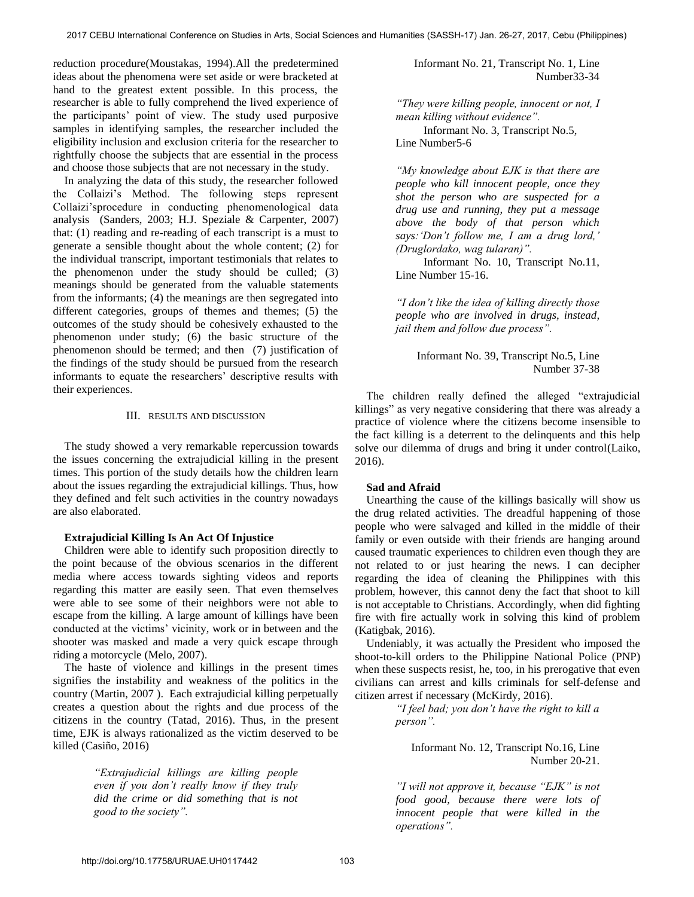reduction procedure(Moustakas, 1994).All the predetermined ideas about the phenomena were set aside or were bracketed at hand to the greatest extent possible. In this process, the researcher is able to fully comprehend the lived experience of the participants' point of view. The study used purposive samples in identifying samples, the researcher included the eligibility inclusion and exclusion criteria for the researcher to rightfully choose the subjects that are essential in the process and choose those subjects that are not necessary in the study.

 In analyzing the data of this study, the researcher followed the Collaizi's Method. The following steps represent Collaizi'sprocedure in conducting phenomenological data analysis (Sanders, 2003; H.J. Speziale & Carpenter, 2007) that: (1) reading and re-reading of each transcript is a must to generate a sensible thought about the whole content; (2) for the individual transcript, important testimonials that relates to the phenomenon under the study should be culled; (3) meanings should be generated from the valuable statements from the informants; (4) the meanings are then segregated into different categories, groups of themes and themes; (5) the outcomes of the study should be cohesively exhausted to the phenomenon under study; (6) the basic structure of the phenomenon should be termed; and then (7) justification of the findings of the study should be pursued from the research informants to equate the researchers' descriptive results with their experiences.

## III. RESULTS AND DISCUSSION

The study showed a very remarkable repercussion towards the issues concerning the extrajudicial killing in the present times. This portion of the study details how the children learn about the issues regarding the extrajudicial killings. Thus, how they defined and felt such activities in the country nowadays are also elaborated.

## **Extrajudicial Killing Is An Act Of Injustice**

Children were able to identify such proposition directly to the point because of the obvious scenarios in the different media where access towards sighting videos and reports regarding this matter are easily seen. That even themselves were able to see some of their neighbors were not able to escape from the killing. A large amount of killings have been conducted at the victims' vicinity, work or in between and the shooter was masked and made a very quick escape through riding a motorcycle (Melo, 2007).

 The haste of violence and killings in the present times signifies the instability and weakness of the politics in the country (Martin, 2007 ). Each extrajudicial killing perpetually creates a question about the rights and due process of the citizens in the country (Tatad, 2016). Thus, in the present time, EJK is always rationalized as the victim deserved to be killed (Casiño, 2016)

> *"Extrajudicial killings are killing people even if you don't really know if they truly did the crime or did something that is not good to the society".*

 Informant No. 21, Transcript No. 1, Line Number33-34

*"They were killing people, innocent or not, I mean killing without evidence".* 

Informant No. 3, Transcript No.5, Line Number5-6

*"My knowledge about EJK is that there are people who kill innocent people, once they shot the person who are suspected for a drug use and running, they put a message above the body of that person which says:'Don't follow me, I am a drug lord,' (Druglordako, wag tularan)".*

Informant No. 10, Transcript No.11, Line Number 15-16.

*"I don't like the idea of killing directly those people who are involved in drugs, instead, jail them and follow due process".* 

> Informant No. 39, Transcript No.5, Line Number 37-38

The children really defined the alleged "extrajudicial killings" as very negative considering that there was already a practice of violence where the citizens become insensible to the fact killing is a deterrent to the delinquents and this help solve our dilemma of drugs and bring it under control(Laiko, 2016).

## **Sad and Afraid**

Unearthing the cause of the killings basically will show us the drug related activities. The dreadful happening of those people who were salvaged and killed in the middle of their family or even outside with their friends are hanging around caused traumatic experiences to children even though they are not related to or just hearing the news. I can decipher regarding the idea of cleaning the Philippines with this problem, however, this cannot deny the fact that shoot to kill is not acceptable to Christians. Accordingly, when did fighting fire with fire actually work in solving this kind of problem (Katigbak, 2016).

 Undeniably, it was actually the President who imposed the shoot-to-kill orders to the Philippine National Police (PNP) when these suspects resist, he, too, in his prerogative that even civilians can arrest and kills criminals for self-defense and citizen arrest if necessary (McKirdy, 2016).

> *"I feel bad; you don't have the right to kill a person".*

Informant No. 12, Transcript No.16, Line Number 20-21.

*"I will not approve it, because "EJK" is not food good, because there were lots of innocent people that were killed in the operations".*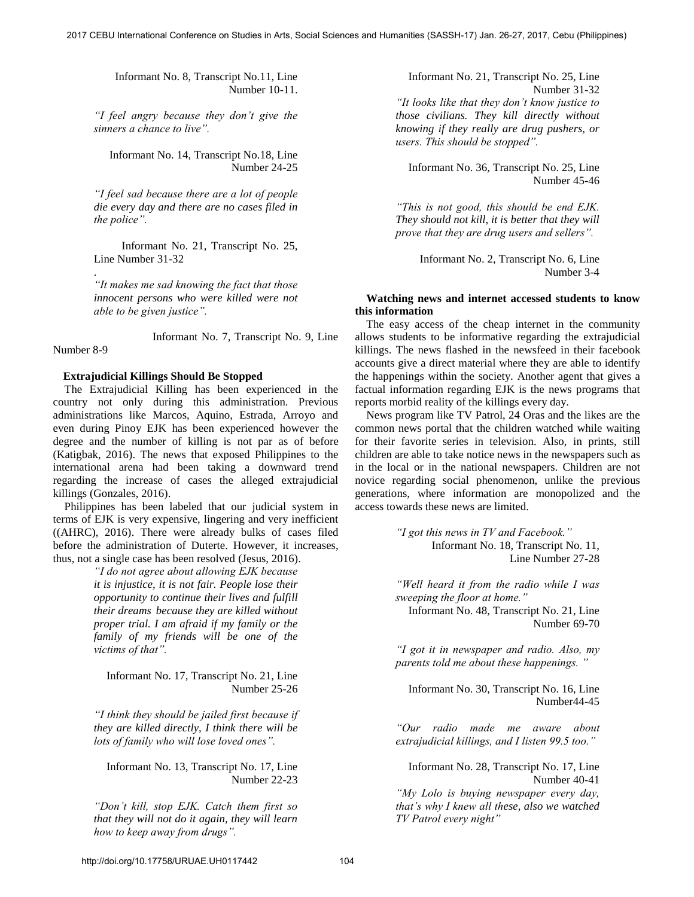Informant No. 8, Transcript No.11, Line Number 10-11.

*"I feel angry because they don't give the sinners a chance to live".* 

Informant No. 14, Transcript No.18, Line Number 24-25

*"I feel sad because there are a lot of people die every day and there are no cases filed in the police".* 

 Informant No. 21, Transcript No. 25, Line Number 31-32

*"It makes me sad knowing the fact that those innocent persons who were killed were not able to be given justice".* 

Informant No. 7, Transcript No. 9, Line Number 8-9

## **Extrajudicial Killings Should Be Stopped**

.

 The Extrajudicial Killing has been experienced in the country not only during this administration. Previous administrations like Marcos, Aquino, Estrada, Arroyo and even during Pinoy EJK has been experienced however the degree and the number of killing is not par as of before (Katigbak, 2016). The news that exposed Philippines to the international arena had been taking a downward trend regarding the increase of cases the alleged extrajudicial killings (Gonzales, 2016).

 Philippines has been labeled that our judicial system in terms of EJK is very expensive, lingering and very inefficient ((AHRC), 2016). There were already bulks of cases filed before the administration of Duterte. However, it increases, thus, not a single case has been resolved (Jesus, 2016).

> *"I do not agree about allowing EJK because it is injustice, it is not fair. People lose their opportunity to continue their lives and fulfill their dreams because they are killed without proper trial. I am afraid if my family or the family of my friends will be one of the victims of that".*

Informant No. 17, Transcript No. 21, Line Number 25-26

*"I think they should be jailed first because if they are killed directly, I think there will be lots of family who will lose loved ones".* 

Informant No. 13, Transcript No. 17, Line Number 22-23

*"Don't kill, stop EJK. Catch them first so that they will not do it again, they will learn how to keep away from drugs".* 

Informant No. 21, Transcript No. 25, Line Number 31-32 *"It looks like that they don't know justice to those civilians. They kill directly without knowing if they really are drug pushers, or users. This should be stopped".* 

Informant No. 36, Transcript No. 25, Line Number 45-46

*"This is not good, this should be end EJK. They should not kill, it is better that they will prove that they are drug users and sellers".* 

> Informant No. 2, Transcript No. 6, Line Number 3-4

## **Watching news and internet accessed students to know this information**

 The easy access of the cheap internet in the community allows students to be informative regarding the extrajudicial killings. The news flashed in the newsfeed in their facebook accounts give a direct material where they are able to identify the happenings within the society. Another agent that gives a factual information regarding EJK is the news programs that reports morbid reality of the killings every day.

 News program like TV Patrol, 24 Oras and the likes are the common news portal that the children watched while waiting for their favorite series in television. Also, in prints, still children are able to take notice news in the newspapers such as in the local or in the national newspapers. Children are not novice regarding social phenomenon, unlike the previous generations, where information are monopolized and the access towards these news are limited.

> *"I got this news in TV and Facebook."* Informant No. 18, Transcript No. 11, Line Number 27-28

*"Well heard it from the radio while I was sweeping the floor at home."* Informant No. 48, Transcript No. 21, Line Number 69-70

*"I got it in newspaper and radio. Also, my parents told me about these happenings. "*

Informant No. 30, Transcript No. 16, Line Number44-45

*"Our radio made me aware about extrajudicial killings, and I listen 99.5 too."*

Informant No. 28, Transcript No. 17, Line Number 40-41 *"My Lolo is buying newspaper every day, that's why I knew all these, also we watched TV Patrol every night"*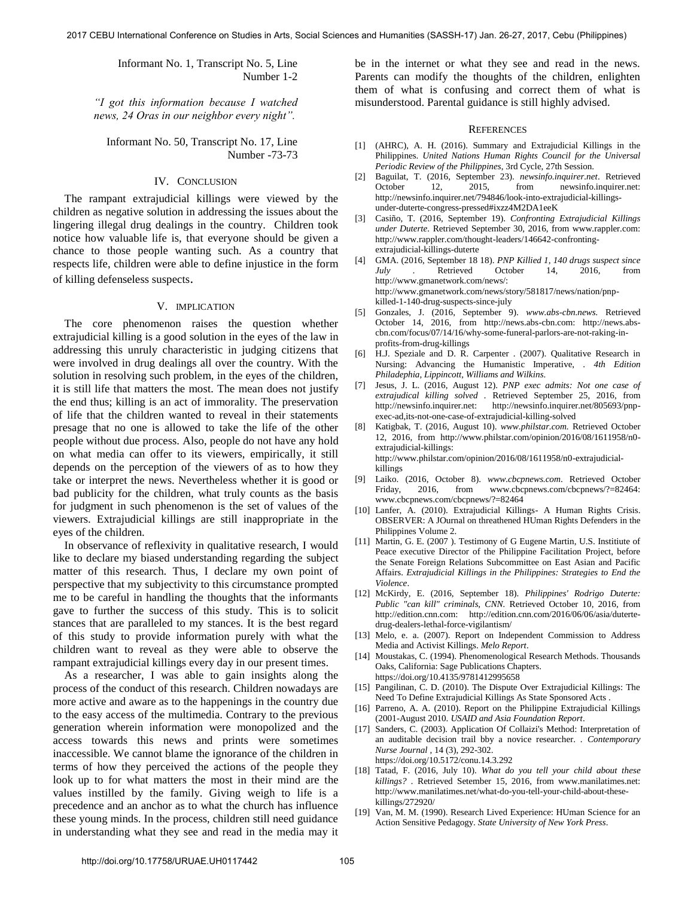Informant No. 1, Transcript No. 5, Line Number 1-2

*"I got this information because I watched news, 24 Oras in our neighbor every night".* 

Informant No. 50, Transcript No. 17, Line Number -73-73

### IV. CONCLUSION

The rampant extrajudicial killings were viewed by the children as negative solution in addressing the issues about the lingering illegal drug dealings in the country. Children took notice how valuable life is, that everyone should be given a chance to those people wanting such. As a country that respects life, children were able to define injustice in the form of killing defenseless suspects.

## V. IMPLICATION

The core phenomenon raises the question whether extrajudicial killing is a good solution in the eyes of the law in addressing this unruly characteristic in judging citizens that were involved in drug dealings all over the country. With the solution in resolving such problem, in the eyes of the children, it is still life that matters the most. The mean does not justify the end thus; killing is an act of immorality. The preservation of life that the children wanted to reveal in their statements presage that no one is allowed to take the life of the other people without due process. Also, people do not have any hold on what media can offer to its viewers, empirically, it still depends on the perception of the viewers of as to how they take or interpret the news. Nevertheless whether it is good or bad publicity for the children, what truly counts as the basis for judgment in such phenomenon is the set of values of the viewers. Extrajudicial killings are still inappropriate in the eyes of the children.

In observance of reflexivity in qualitative research, I would like to declare my biased understanding regarding the subject matter of this research. Thus, I declare my own point of perspective that my subjectivity to this circumstance prompted me to be careful in handling the thoughts that the informants gave to further the success of this study. This is to solicit stances that are paralleled to my stances. It is the best regard of this study to provide information purely with what the children want to reveal as they were able to observe the rampant extrajudicial killings every day in our present times.

As a researcher, I was able to gain insights along the process of the conduct of this research. Children nowadays are more active and aware as to the happenings in the country due to the easy access of the multimedia. Contrary to the previous generation wherein information were monopolized and the access towards this news and prints were sometimes inaccessible. We cannot blame the ignorance of the children in terms of how they perceived the actions of the people they look up to for what matters the most in their mind are the values instilled by the family. Giving weigh to life is a precedence and an anchor as to what the church has influence these young minds. In the process, children still need guidance in understanding what they see and read in the media may it

be in the internet or what they see and read in the news. Parents can modify the thoughts of the children, enlighten them of what is confusing and correct them of what is misunderstood. Parental guidance is still highly advised.

#### **REFERENCES**

- [1] (AHRC), A. H. (2016). Summary and Extrajudicial Killings in the Philippines. *United Nations Human Rights Council for the Universal Periodic Review of the Philippines*, 3rd Cycle, 27th Session.
- [2] Baguilat, T. (2016, September 23). *newsinfo.inquirer.net*. Retrieved October 12, 2015, from newsinfo.inquirer.net: http://newsinfo.inquirer.net/794846/look-into-extrajudicial-killingsunder-duterte-congress-pressed#ixzz4M2DA1eeK
- [3] Casiño, T. (2016, September 19). *Confronting Extrajudicial Killings under Duterte.* Retrieved September 30, 2016, from www.rappler.com: http://www.rappler.com/thought-leaders/146642-confrontingextrajudicial-killings-duterte
- [4] GMA. (2016, September 18 18). *PNP Killied 1, 140 drugs suspect since July .* Retrieved October 14, 2016, from http://www.gmanetwork.com/news/: http://www.gmanetwork.com/news/story/581817/news/nation/pnpkilled-1-140-drug-suspects-since-july
- [5] Gonzales, J. (2016, September 9). *www.abs-cbn.news.* Retrieved October 14, 2016, from http://news.abs-cbn.com: http://news.abscbn.com/focus/07/14/16/why-some-funeral-parlors-are-not-raking-inprofits-from-drug-killings
- [6] H.J. Speziale and D. R. Carpenter . (2007). Qualitative Research in Nursing: Advancing the Humanistic Imperative, . *4th Edition Philadephia, Lippincott, Williams and Wilkins*.
- [7] Jesus, J. L. (2016, August 12). *PNP exec admits: Not one case of extrajudical killing solved .* Retrieved September 25, 2016, from http://newsinfo.inquirer.net: http://newsinfo.inquirer.net/805693/pnpexec-ad,its-not-one-case-of-extrajudicial-killing-solved
- [8] Katigbak, T. (2016, August 10). *www.philstar.com.* Retrieved October 12, 2016, from http://www.philstar.com/opinion/2016/08/1611958/n0 extrajudicial-killings: http://www.philstar.com/opinion/2016/08/1611958/n0-extrajudicialkillings
- [9] Laiko. (2016, October 8). *www.cbcpnews.com*. Retrieved October Friday, 2016, from www.cbcpnews.com/cbcpnews/?=82464: www.cbcpnews.com/cbcpnews/?=82464
- [10] Lanfer, A. (2010). Extrajudicial Killings- A Human Rights Crisis. OBSERVER: A JOurnal on threathened HUman Rights Defenders in the Philippines Volume 2.
- [11] Martin, G. E. (2007 ). Testimony of G Eugene Martin, U.S. Institiute of Peace executive Director of the Philippine Facilitation Project, before the Senate Foreign Relations Subcommittee on East Asian and Pacific Affairs. *Extrajudicial Killings in the Philippines: Strategies to End the Violence*.
- [12] McKirdy, E. (2016, September 18). *Philippines' Rodrigo Duterte: Public "can kill" criminals, CNN.* Retrieved October 10, 2016, from http://edition.cnn.com: http://edition.cnn.com/2016/06/06/asia/dutertedrug-dealers-lethal-force-vigilantism/
- [13] Melo, e. a. (2007). Report on Independent Commission to Address Media and Activist Killings. *Melo Report*.
- [14] Moustakas, C. (1994). Phenomenological Research Methods. Thousands [Oaks, California: Sage Publications Chapters.](https://doi.org/10.4135/9781412995658)  <https://doi.org/10.4135/9781412995658>
- [15] Pangilinan, C. D. (2010). The Dispute Over Extrajudicial Killings: The Need To Define Extrajudicial Killings As State Sponsored Acts .
- [16] Parreno, A. A. (2010). Report on the Philippine Extrajudicial Killings (2001-August 2010. *USAID and Asia Foundation Report*.
- [17] [Sanders, C. \(2003\). Application Of Collaizi's Method: Interpretation of](https://doi.org/10.5172/conu.14.3.292)  [an auditable decision trail bby a novice researcher. .](https://doi.org/10.5172/conu.14.3.292) *Contemporary Nurse Journal* [, 14 \(3\), 292-302.](https://doi.org/10.5172/conu.14.3.292)  <https://doi.org/10.5172/conu.14.3.292>
- [18] Tatad, F. (2016, July 10). *What do you tell your child about these killings? .* Retrieved Setember 15, 2016, from www.manilatimes.net: [http://www.manilatimes.net/what-do-you-tell-your-child-about-these](http://www.manilatimes.net/what-do-you-tell-your-child-about-these-killings/272920/)[killings/272920/](http://www.manilatimes.net/what-do-you-tell-your-child-about-these-killings/272920/)
- [19] Van, M. M. (1990). Research Lived Experience: HUman Science for an Action Sensitive Pedagogy. *State University of New York Press*.